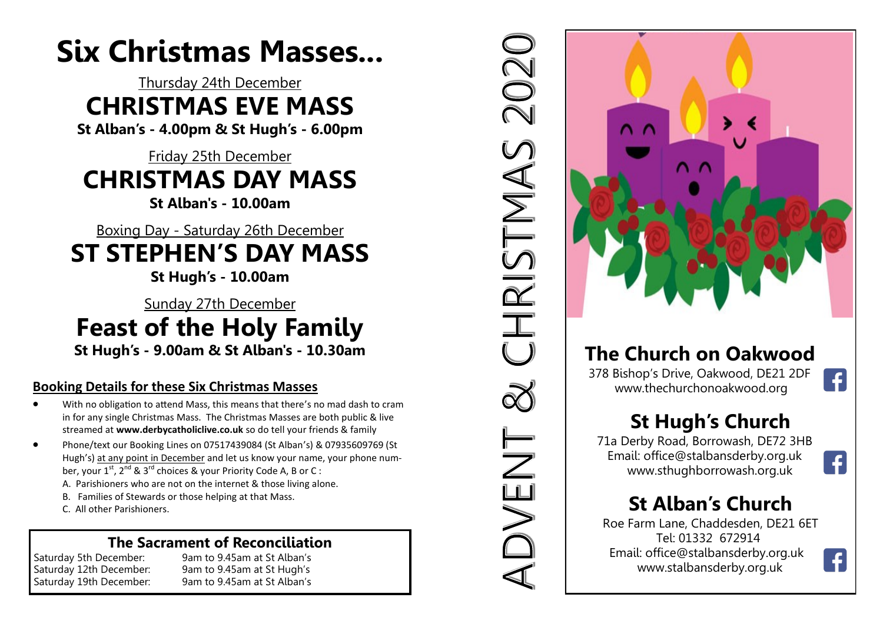## **Six Christmas Masses...**

### Thursday 24th December **CHRISTMAS EVE MASS**

**St Alban's - 4.00pm & St Hugh's - 6.00pm**

#### Friday 25th December **CHRISTMAS DAY MASS St Alban's - 10.00am**

Boxing Day - Saturday 26th December **ST STEPHEN'S DAY MASS** 

**St Hugh's - 10.00am**

Sunday 27th December **Feast of the Holy Family St Hugh's - 9.00am & St Alban's - 10.30am**

#### **Booking Details for these Six Christmas Masses**

- With no obligation to attend Mass, this means that there's no mad dash to cram in for any single Christmas Mass. The Christmas Masses are both public & live streamed at **www.derbycatholiclive.co.uk** so do tell your friends & family
- Phone/text our Booking Lines on 07517439084 (St Alban's) & 07935609769 (St Hugh's) at any point in December and let us know your name, your phone number, your  $1^{st}$ ,  $2^{nd}$  &  $3^{rd}$  choices & your Priority Code A, B or C :
	- A. Parishioners who are not on the internet & those living alone.
	- B. Families of Stewards or those helping at that Mass.
	- C. All other Parishioners.

### **The Sacrament of Reconciliation**<br>Saturday 5th December: 9am to 9.45am at St Alban's

9am to 9.45am at St Alban's Saturday 12th December: 9am to 9.45am at St Hugh's Saturday 19th December: 9am to 9.45am at St Alban's



2020

CHRISTMAS

NUVENT

### **The Church on Oakwood**

 378 Bishop's Drive, Oakwood, DE21 2DF [www.thechurchonoakwood.org](http://www.thechurchonoakwood.org)

### **St Hugh's Church**

 71a Derby Road, Borrowash, DE72 3HB Email: office@stalbansderby.org.uk www.sthughborrowash.org.uk

### **St Alban's Church**

Roe Farm Lane, Chaddesden, DE21 6ET Tel: 01332 672914 Email: office@stalbansderby.org.uk [www.stalbansderby.org.uk](http://www.stalbansderby.org.uk) 



 $\left| \cdot \right|$